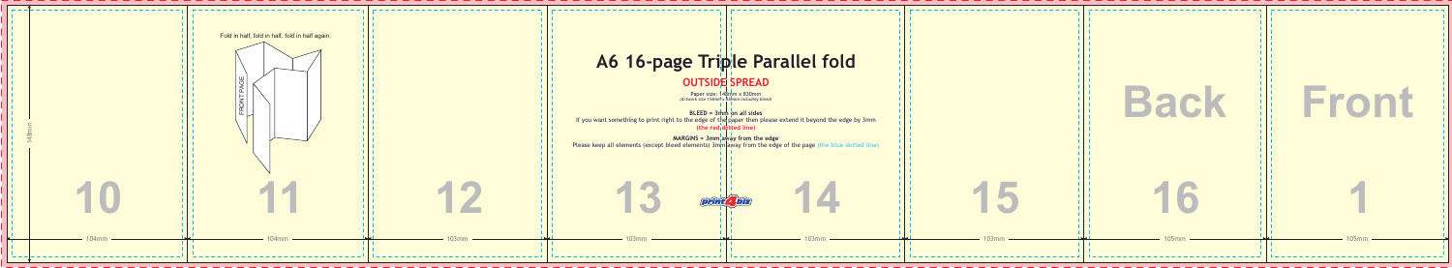